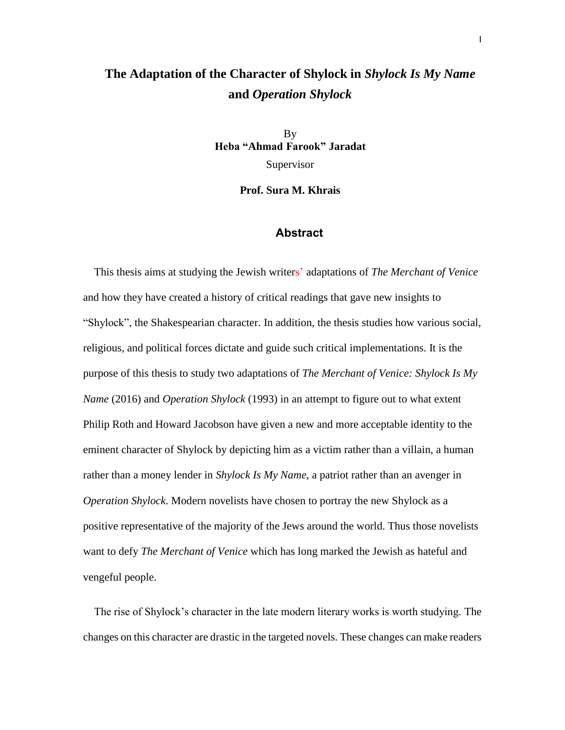## **The Adaptation of the Character of Shylock in** *Shylock Is My Name* **and** *Operation Shylock*

By **Heba "Ahmad Farook" Jaradat**

Supervisor

**Prof. Sura M. Khrais**

## **Abstract**

 This thesis aims at studying the Jewish writers' adaptations of *The Merchant of Venice* and how they have created a history of critical readings that gave new insights to "Shylock", the Shakespearian character. In addition, the thesis studies how various social, religious, and political forces dictate and guide such critical implementations. It is the purpose of this thesis to study two adaptations of *The Merchant of Venice: Shylock Is My Name* (2016) and *Operation Shylock* (1993) in an attempt to figure out to what extent Philip Roth and Howard Jacobson have given a new and more acceptable identity to the eminent character of Shylock by depicting him as a victim rather than a villain, a human rather than a money lender in *Shylock Is My Name*, a patriot rather than an avenger in *Operation Shylock*. Modern novelists have chosen to portray the new Shylock as a positive representative of the majority of the Jews around the world. Thus those novelists want to defy *The Merchant of Venice* which has long marked the Jewish as hateful and vengeful people.

 The rise of Shylock's character in the late modern literary works is worth studying. The changes on this character are drastic in the targeted novels. These changes can make readers